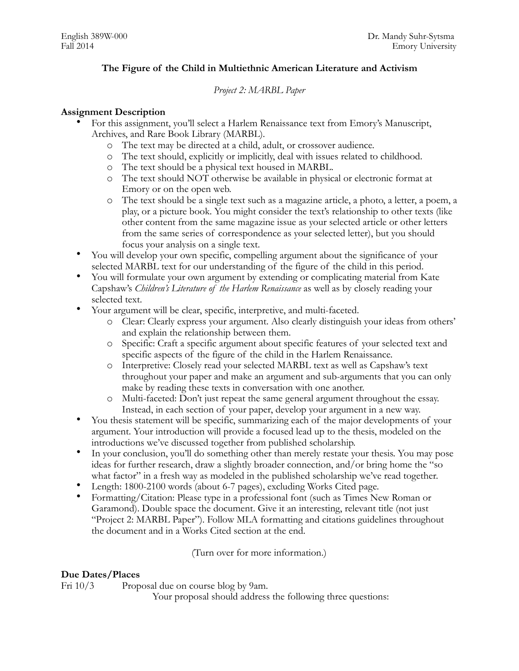# **The Figure of the Child in Multiethnic American Literature and Activism**

## *Project 2: MARBL Paper*

#### **Assignment Description**

- For this assignment, you'll select a Harlem Renaissance text from Emory's Manuscript, Archives, and Rare Book Library (MARBL).
	- o The text may be directed at a child, adult, or crossover audience.
	- o The text should, explicitly or implicitly, deal with issues related to childhood.
	- o The text should be a physical text housed in MARBL.
	- o The text should NOT otherwise be available in physical or electronic format at Emory or on the open web.
	- o The text should be a single text such as a magazine article, a photo, a letter, a poem, a play, or a picture book. You might consider the text's relationship to other texts (like other content from the same magazine issue as your selected article or other letters from the same series of correspondence as your selected letter), but you should focus your analysis on a single text.
- You will develop your own specific, compelling argument about the significance of your selected MARBL text for our understanding of the figure of the child in this period.
- You will formulate your own argument by extending or complicating material from Kate Capshaw's *Children's Literature of the Harlem Renaissance* as well as by closely reading your selected text.
- Your argument will be clear, specific, interpretive, and multi-faceted.
	- o Clear: Clearly express your argument. Also clearly distinguish your ideas from others' and explain the relationship between them.
	- o Specific: Craft a specific argument about specific features of your selected text and specific aspects of the figure of the child in the Harlem Renaissance.
	- o Interpretive: Closely read your selected MARBL text as well as Capshaw's text throughout your paper and make an argument and sub-arguments that you can only make by reading these texts in conversation with one another.
	- o Multi-faceted: Don't just repeat the same general argument throughout the essay. Instead, in each section of your paper, develop your argument in a new way.
- You thesis statement will be specific, summarizing each of the major developments of your argument. Your introduction will provide a focused lead up to the thesis, modeled on the introductions we've discussed together from published scholarship.
- In your conclusion, you'll do something other than merely restate your thesis. You may pose ideas for further research, draw a slightly broader connection, and/or bring home the "so what factor" in a fresh way as modeled in the published scholarship we've read together.
- Length: 1800-2100 words (about 6-7 pages), excluding Works Cited page.
- Formatting/Citation: Please type in a professional font (such as Times New Roman or Garamond). Double space the document. Give it an interesting, relevant title (not just "Project 2: MARBL Paper"). Follow MLA formatting and citations guidelines throughout the document and in a Works Cited section at the end.

(Turn over for more information.)

## **Due Dates/Places**

Fri  $10/3$  Proposal due on course blog by 9am.

Your proposal should address the following three questions: